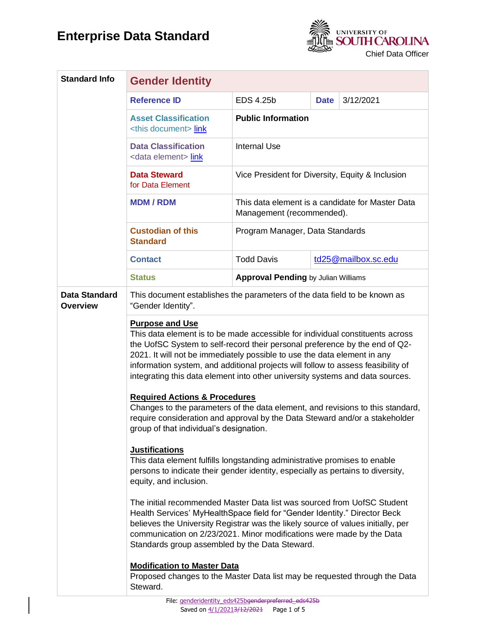

| <b>Standard Info</b>                    | <b>Gender Identity</b>                                                                                                                                                                                                                                                                                                                                                                                                                                                                                                                                                                                                                                                                          |                                                                               |                     |           |  |
|-----------------------------------------|-------------------------------------------------------------------------------------------------------------------------------------------------------------------------------------------------------------------------------------------------------------------------------------------------------------------------------------------------------------------------------------------------------------------------------------------------------------------------------------------------------------------------------------------------------------------------------------------------------------------------------------------------------------------------------------------------|-------------------------------------------------------------------------------|---------------------|-----------|--|
|                                         | <b>Reference ID</b>                                                                                                                                                                                                                                                                                                                                                                                                                                                                                                                                                                                                                                                                             | EDS 4.25b                                                                     | <b>Date</b>         | 3/12/2021 |  |
|                                         | <b>Asset Classification</b><br><this document=""> link</this>                                                                                                                                                                                                                                                                                                                                                                                                                                                                                                                                                                                                                                   | <b>Public Information</b>                                                     |                     |           |  |
|                                         | <b>Data Classification</b><br><data element=""> link</data>                                                                                                                                                                                                                                                                                                                                                                                                                                                                                                                                                                                                                                     | <b>Internal Use</b>                                                           |                     |           |  |
|                                         | <b>Data Steward</b><br>for Data Element                                                                                                                                                                                                                                                                                                                                                                                                                                                                                                                                                                                                                                                         | Vice President for Diversity, Equity & Inclusion                              |                     |           |  |
|                                         | <b>MDM/RDM</b>                                                                                                                                                                                                                                                                                                                                                                                                                                                                                                                                                                                                                                                                                  | This data element is a candidate for Master Data<br>Management (recommended). |                     |           |  |
|                                         | <b>Custodian of this</b><br><b>Standard</b>                                                                                                                                                                                                                                                                                                                                                                                                                                                                                                                                                                                                                                                     | Program Manager, Data Standards                                               |                     |           |  |
|                                         | <b>Contact</b>                                                                                                                                                                                                                                                                                                                                                                                                                                                                                                                                                                                                                                                                                  | <b>Todd Davis</b>                                                             | td25@mailbox.sc.edu |           |  |
|                                         | <b>Status</b>                                                                                                                                                                                                                                                                                                                                                                                                                                                                                                                                                                                                                                                                                   | <b>Approval Pending by Julian Williams</b>                                    |                     |           |  |
| <b>Data Standard</b><br><b>Overview</b> | This document establishes the parameters of the data field to be known as<br>"Gender Identity".                                                                                                                                                                                                                                                                                                                                                                                                                                                                                                                                                                                                 |                                                                               |                     |           |  |
|                                         | <b>Purpose and Use</b><br>This data element is to be made accessible for individual constituents across<br>the UofSC System to self-record their personal preference by the end of Q2-<br>2021. It will not be immediately possible to use the data element in any<br>information system, and additional projects will follow to assess feasibility of<br>integrating this data element into other university systems and data sources.<br><b>Required Actions &amp; Procedures</b><br>Changes to the parameters of the data element, and revisions to this standard,<br>require consideration and approval by the Data Steward and/or a stakeholder<br>group of that individual's designation. |                                                                               |                     |           |  |
|                                         | <b>Justifications</b><br>This data element fulfills longstanding administrative promises to enable<br>persons to indicate their gender identity, especially as pertains to diversity,<br>equity, and inclusion.                                                                                                                                                                                                                                                                                                                                                                                                                                                                                 |                                                                               |                     |           |  |
|                                         | The initial recommended Master Data list was sourced from UofSC Student<br>Health Services' MyHealth Space field for "Gender Identity." Director Beck<br>believes the University Registrar was the likely source of values initially, per<br>communication on 2/23/2021. Minor modifications were made by the Data<br>Standards group assembled by the Data Steward.                                                                                                                                                                                                                                                                                                                            |                                                                               |                     |           |  |
|                                         | <b>Modification to Master Data</b><br>Proposed changes to the Master Data list may be requested through the Data<br>Steward.                                                                                                                                                                                                                                                                                                                                                                                                                                                                                                                                                                    |                                                                               |                     |           |  |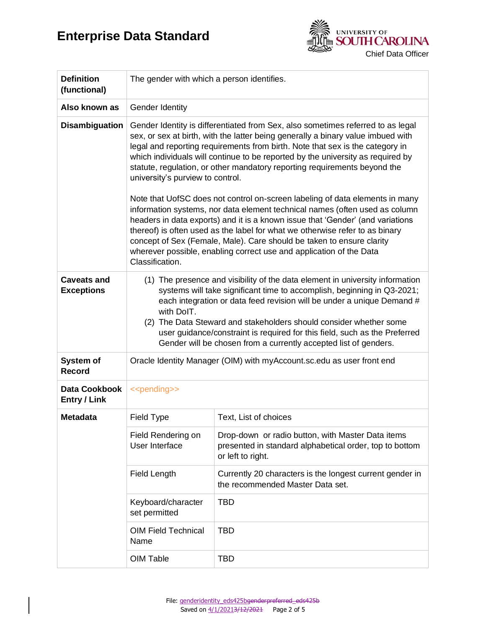

| <b>Definition</b><br>(functional)       | The gender with which a person identifies.                                                                                                                                                                                                                                                                                                                                                                                                                                                                                                                                                                                                                                                                                                                                                                                                                                                                                                                   |                                                                                                                                   |  |
|-----------------------------------------|--------------------------------------------------------------------------------------------------------------------------------------------------------------------------------------------------------------------------------------------------------------------------------------------------------------------------------------------------------------------------------------------------------------------------------------------------------------------------------------------------------------------------------------------------------------------------------------------------------------------------------------------------------------------------------------------------------------------------------------------------------------------------------------------------------------------------------------------------------------------------------------------------------------------------------------------------------------|-----------------------------------------------------------------------------------------------------------------------------------|--|
| Also known as                           | <b>Gender Identity</b>                                                                                                                                                                                                                                                                                                                                                                                                                                                                                                                                                                                                                                                                                                                                                                                                                                                                                                                                       |                                                                                                                                   |  |
| <b>Disambiguation</b>                   | Gender Identity is differentiated from Sex, also sometimes referred to as legal<br>sex, or sex at birth, with the latter being generally a binary value imbued with<br>legal and reporting requirements from birth. Note that sex is the category in<br>which individuals will continue to be reported by the university as required by<br>statute, regulation, or other mandatory reporting requirements beyond the<br>university's purview to control.<br>Note that UofSC does not control on-screen labeling of data elements in many<br>information systems, nor data element technical names (often used as column<br>headers in data exports) and it is a known issue that 'Gender' (and variations<br>thereof) is often used as the label for what we otherwise refer to as binary<br>concept of Sex (Female, Male). Care should be taken to ensure clarity<br>wherever possible, enabling correct use and application of the Data<br>Classification. |                                                                                                                                   |  |
| <b>Caveats and</b><br><b>Exceptions</b> | (1) The presence and visibility of the data element in university information<br>systems will take significant time to accomplish, beginning in Q3-2021;<br>each integration or data feed revision will be under a unique Demand #<br>with DoIT.<br>(2) The Data Steward and stakeholders should consider whether some<br>user guidance/constraint is required for this field, such as the Preferred<br>Gender will be chosen from a currently accepted list of genders.                                                                                                                                                                                                                                                                                                                                                                                                                                                                                     |                                                                                                                                   |  |
| System of<br><b>Record</b>              | Oracle Identity Manager (OIM) with myAccount.sc.edu as user front end                                                                                                                                                                                                                                                                                                                                                                                                                                                                                                                                                                                                                                                                                                                                                                                                                                                                                        |                                                                                                                                   |  |
| Data Cookbook<br><b>Entry / Link</b>    | < <pending>&gt;</pending>                                                                                                                                                                                                                                                                                                                                                                                                                                                                                                                                                                                                                                                                                                                                                                                                                                                                                                                                    |                                                                                                                                   |  |
| <b>Metadata</b>                         | Field Type                                                                                                                                                                                                                                                                                                                                                                                                                                                                                                                                                                                                                                                                                                                                                                                                                                                                                                                                                   | Text, List of choices                                                                                                             |  |
|                                         | Field Rendering on<br>User Interface                                                                                                                                                                                                                                                                                                                                                                                                                                                                                                                                                                                                                                                                                                                                                                                                                                                                                                                         | Drop-down or radio button, with Master Data items<br>presented in standard alphabetical order, top to bottom<br>or left to right. |  |
|                                         | Field Length                                                                                                                                                                                                                                                                                                                                                                                                                                                                                                                                                                                                                                                                                                                                                                                                                                                                                                                                                 | Currently 20 characters is the longest current gender in<br>the recommended Master Data set.                                      |  |
|                                         | Keyboard/character<br>set permitted                                                                                                                                                                                                                                                                                                                                                                                                                                                                                                                                                                                                                                                                                                                                                                                                                                                                                                                          | TBD                                                                                                                               |  |
|                                         | <b>OIM Field Technical</b><br>Name                                                                                                                                                                                                                                                                                                                                                                                                                                                                                                                                                                                                                                                                                                                                                                                                                                                                                                                           | <b>TBD</b>                                                                                                                        |  |
|                                         | OIM Table                                                                                                                                                                                                                                                                                                                                                                                                                                                                                                                                                                                                                                                                                                                                                                                                                                                                                                                                                    | <b>TBD</b>                                                                                                                        |  |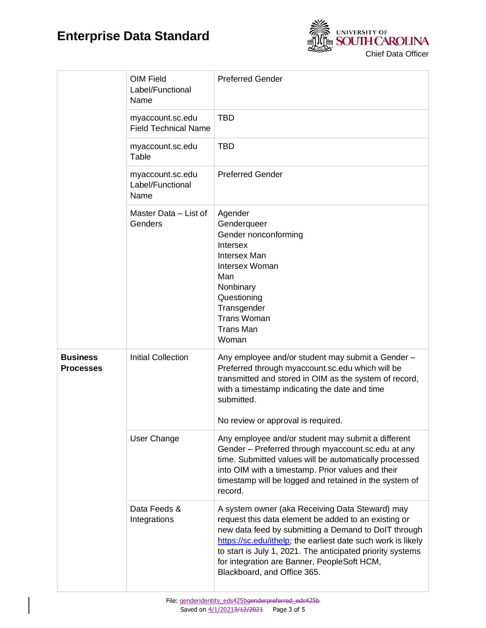

|                                     | OIM Field<br>Label/Functional<br>Name           | <b>Preferred Gender</b>                                                                                                                                                                                                                                                                                                                                                     |  |
|-------------------------------------|-------------------------------------------------|-----------------------------------------------------------------------------------------------------------------------------------------------------------------------------------------------------------------------------------------------------------------------------------------------------------------------------------------------------------------------------|--|
|                                     | myaccount.sc.edu<br><b>Field Technical Name</b> | <b>TBD</b>                                                                                                                                                                                                                                                                                                                                                                  |  |
|                                     | myaccount.sc.edu<br>Table                       | <b>TBD</b>                                                                                                                                                                                                                                                                                                                                                                  |  |
|                                     | myaccount.sc.edu<br>Label/Functional<br>Name    | <b>Preferred Gender</b>                                                                                                                                                                                                                                                                                                                                                     |  |
|                                     | Master Data - List of<br>Genders                | Agender<br>Genderqueer<br>Gender nonconforming<br>Intersex<br><b>Intersex Man</b><br>Intersex Woman<br>Man<br>Nonbinary<br>Questioning<br>Transgender<br><b>Trans Woman</b><br><b>Trans Man</b><br>Woman                                                                                                                                                                    |  |
| <b>Business</b><br><b>Processes</b> | <b>Initial Collection</b>                       | Any employee and/or student may submit a Gender -<br>Preferred through myaccount.sc.edu which will be<br>transmitted and stored in OIM as the system of record,<br>with a timestamp indicating the date and time<br>submitted.<br>No review or approval is required.                                                                                                        |  |
|                                     | User Change                                     | Any employee and/or student may submit a different<br>Gender - Preferred through myaccount.sc.edu at any<br>time. Submitted values will be automatically processed<br>into OIM with a timestamp. Prior values and their<br>timestamp will be logged and retained in the system of<br>record.                                                                                |  |
|                                     | Data Feeds &<br>Integrations                    | A system owner (aka Receiving Data Steward) may<br>request this data element be added to an existing or<br>new data feed by submitting a Demand to DoIT through<br>https://sc.edu/ithelp; the earliest date such work is likely<br>to start is July 1, 2021. The anticipated priority systems<br>for integration are Banner, PeopleSoft HCM,<br>Blackboard, and Office 365. |  |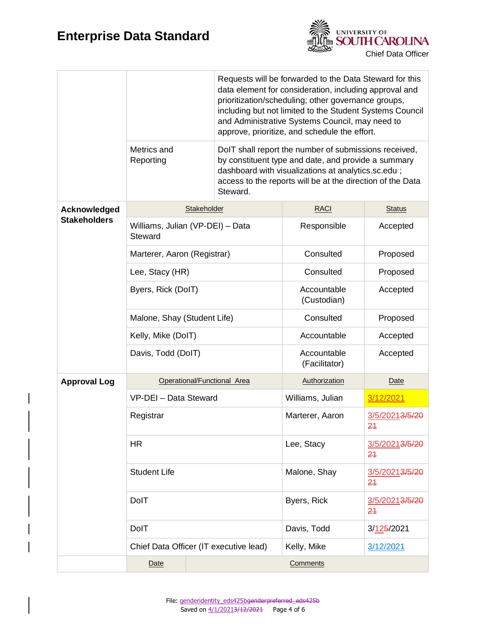

|                                     | Requests will be forwarded to the Data Steward for this<br>data element for consideration, including approval and<br>prioritization/scheduling; other governance groups,<br>including but not limited to the Student Systems Council<br>and Administrative Systems Council, may need to<br>approve, prioritize, and schedule the effort. |  |                                                                                                                                                                                                                                              |                      |               |  |
|-------------------------------------|------------------------------------------------------------------------------------------------------------------------------------------------------------------------------------------------------------------------------------------------------------------------------------------------------------------------------------------|--|----------------------------------------------------------------------------------------------------------------------------------------------------------------------------------------------------------------------------------------------|----------------------|---------------|--|
|                                     | Metrics and<br>Reporting                                                                                                                                                                                                                                                                                                                 |  | DoIT shall report the number of submissions received,<br>by constituent type and date, and provide a summary<br>dashboard with visualizations at analytics.sc.edu;<br>access to the reports will be at the direction of the Data<br>Steward. |                      |               |  |
| Acknowledged<br><b>Stakeholders</b> | Stakeholder                                                                                                                                                                                                                                                                                                                              |  |                                                                                                                                                                                                                                              | <b>RACI</b>          | <b>Status</b> |  |
|                                     | Williams, Julian (VP-DEI) - Data<br>Steward                                                                                                                                                                                                                                                                                              |  | Responsible                                                                                                                                                                                                                                  | Accepted             |               |  |
|                                     | Marterer, Aaron (Registrar)                                                                                                                                                                                                                                                                                                              |  | Consulted                                                                                                                                                                                                                                    | Proposed             |               |  |
|                                     | Lee, Stacy (HR)                                                                                                                                                                                                                                                                                                                          |  | Consulted                                                                                                                                                                                                                                    | Proposed             |               |  |
|                                     | Byers, Rick (DoIT)                                                                                                                                                                                                                                                                                                                       |  | Accountable<br>(Custodian)                                                                                                                                                                                                                   | Accepted             |               |  |
|                                     | Malone, Shay (Student Life)                                                                                                                                                                                                                                                                                                              |  | Consulted                                                                                                                                                                                                                                    | Proposed             |               |  |
|                                     | Kelly, Mike (DoIT)                                                                                                                                                                                                                                                                                                                       |  | Accountable                                                                                                                                                                                                                                  | Accepted             |               |  |
|                                     | Davis, Todd (DoIT)                                                                                                                                                                                                                                                                                                                       |  | Accountable<br>(Facilitator)                                                                                                                                                                                                                 | Accepted             |               |  |
| <b>Approval Log</b>                 | Operational/Functional Area                                                                                                                                                                                                                                                                                                              |  | Authorization                                                                                                                                                                                                                                | <b>Date</b>          |               |  |
|                                     | VP-DEI - Data Steward                                                                                                                                                                                                                                                                                                                    |  | Williams, Julian                                                                                                                                                                                                                             | 3/12/2021            |               |  |
|                                     | Registrar                                                                                                                                                                                                                                                                                                                                |  | Marterer, Aaron                                                                                                                                                                                                                              | 3/5/20213/5/20<br>24 |               |  |
|                                     | <b>HR</b>                                                                                                                                                                                                                                                                                                                                |  | Lee, Stacy                                                                                                                                                                                                                                   | 3/5/20213/5/20<br>24 |               |  |
|                                     | <b>Student Life</b>                                                                                                                                                                                                                                                                                                                      |  | Malone, Shay                                                                                                                                                                                                                                 | 3/5/20213/5/20<br>24 |               |  |
|                                     | DolT                                                                                                                                                                                                                                                                                                                                     |  | Byers, Rick                                                                                                                                                                                                                                  | 3/5/20213/5/20<br>24 |               |  |
|                                     | DolT                                                                                                                                                                                                                                                                                                                                     |  | Davis, Todd                                                                                                                                                                                                                                  | 3/125/2021           |               |  |
|                                     | Chief Data Officer (IT executive lead)                                                                                                                                                                                                                                                                                                   |  |                                                                                                                                                                                                                                              | Kelly, Mike          | 3/12/2021     |  |
|                                     | Date                                                                                                                                                                                                                                                                                                                                     |  |                                                                                                                                                                                                                                              | Comments             |               |  |